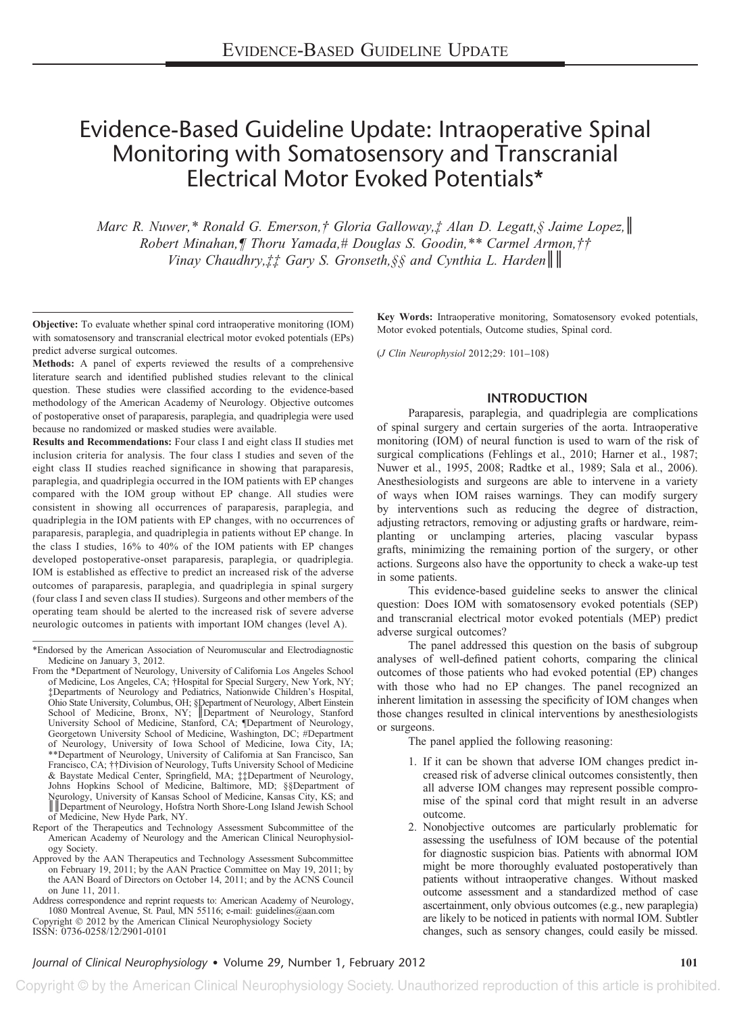# Evidence-Based Guideline Update: Intraoperative Spinal Monitoring with Somatosensory and Transcranial Electrical Motor Evoked Potentials\*

Marc R. Nuwer,\* Ronald G. Emerson,† Gloria Galloway, $\ddot{\tau}$  Alan D. Legatt, § Jaime Lopez, Robert Minahan,¶ Thoru Yamada,# Douglas S. Goodin,\*\* Carmel Armon,†† Vinay Chaudhry, $\sharp \sharp$  Gary S. Gronseth, §§ and Cynthia L. Harden $\Vert \Vert$ 

Objective: To evaluate whether spinal cord intraoperative monitoring (IOM) with somatosensory and transcranial electrical motor evoked potentials (EPs) predict adverse surgical outcomes.

Methods: A panel of experts reviewed the results of a comprehensive literature search and identified published studies relevant to the clinical question. These studies were classified according to the evidence-based methodology of the American Academy of Neurology. Objective outcomes of postoperative onset of paraparesis, paraplegia, and quadriplegia were used because no randomized or masked studies were available.

Results and Recommendations: Four class I and eight class II studies met inclusion criteria for analysis. The four class I studies and seven of the eight class II studies reached significance in showing that paraparesis, paraplegia, and quadriplegia occurred in the IOM patients with EP changes compared with the IOM group without EP change. All studies were consistent in showing all occurrences of paraparesis, paraplegia, and quadriplegia in the IOM patients with EP changes, with no occurrences of paraparesis, paraplegia, and quadriplegia in patients without EP change. In the class I studies, 16% to 40% of the IOM patients with EP changes developed postoperative-onset paraparesis, paraplegia, or quadriplegia. IOM is established as effective to predict an increased risk of the adverse outcomes of paraparesis, paraplegia, and quadriplegia in spinal surgery (four class I and seven class II studies). Surgeons and other members of the operating team should be alerted to the increased risk of severe adverse neurologic outcomes in patients with important IOM changes (level A).

Approved by the AAN Therapeutics and Technology Assessment Subcommittee on February 19, 2011; by the AAN Practice Committee on May 19, 2011; by the AAN Board of Directors on October 14, 2011; and by the ACNS Council on June 11, 2011.

Key Words: Intraoperative monitoring, Somatosensory evoked potentials, Motor evoked potentials, Outcome studies, Spinal cord.

(J Clin Neurophysiol 2012;29: 101–108)

# INTRODUCTION

Paraparesis, paraplegia, and quadriplegia are complications of spinal surgery and certain surgeries of the aorta. Intraoperative monitoring (IOM) of neural function is used to warn of the risk of surgical complications (Fehlings et al., 2010; Harner et al., 1987; Nuwer et al., 1995, 2008; Radtke et al., 1989; Sala et al., 2006). Anesthesiologists and surgeons are able to intervene in a variety of ways when IOM raises warnings. They can modify surgery by interventions such as reducing the degree of distraction, adjusting retractors, removing or adjusting grafts or hardware, reimplanting or unclamping arteries, placing vascular bypass grafts, minimizing the remaining portion of the surgery, or other actions. Surgeons also have the opportunity to check a wake-up test in some patients.

This evidence-based guideline seeks to answer the clinical question: Does IOM with somatosensory evoked potentials (SEP) and transcranial electrical motor evoked potentials (MEP) predict adverse surgical outcomes?

The panel addressed this question on the basis of subgroup analyses of well-defined patient cohorts, comparing the clinical outcomes of those patients who had evoked potential (EP) changes with those who had no EP changes. The panel recognized an inherent limitation in assessing the specificity of IOM changes when those changes resulted in clinical interventions by anesthesiologists or surgeons.

The panel applied the following reasoning:

- 1. If it can be shown that adverse IOM changes predict increased risk of adverse clinical outcomes consistently, then all adverse IOM changes may represent possible compromise of the spinal cord that might result in an adverse outcome.
- 2. Nonobjective outcomes are particularly problematic for assessing the usefulness of IOM because of the potential for diagnostic suspicion bias. Patients with abnormal IOM might be more thoroughly evaluated postoperatively than patients without intraoperative changes. Without masked outcome assessment and a standardized method of case ascertainment, only obvious outcomes (e.g., new paraplegia) are likely to be noticed in patients with normal IOM. Subtler changes, such as sensory changes, could easily be missed.

<sup>\*</sup>Endorsed by the American Association of Neuromuscular and Electrodiagnostic Medicine on January 3, 2012.

From the \*Department of Neurology, University of California Los Angeles School of Medicine, Los Angeles, CA; †Hospital for Special Surgery, New York, NY; ‡Departments of Neurology and Pediatrics, Nationwide Children's Hospital, Ohio State University, Columbus, OH; §Department of Neurology, Albert Einstein School of Medicine, Bronx, NY; Department of Neurology, Stanford University School of Medicine, Stanford, CA; ¶Department of Neurology, Georgetown University School of Medicine, Washington, DC; #Department of Neurology, University of Iowa School of Medicine, Iowa City, IA; \*\*Department of Neurology, University of California at San Francisco, San Francisco, CA; ††Division of Neurology, Tufts University School of Medicine & Baystate Medical Center, Springfield, MA; ‡‡Department of Neurology, Johns Hopkins School of Medicine, Baltimore, MD; §§Department of Neurology, University of Kansas School of Medicine, Kansas City, KS; and<br>∥∥Department of Neurology, Hofstra North Shore-Long Island Jewish School of Medicine, New Hyde Park, NY.

Report of the Therapeutics and Technology Assessment Subcommittee of the American Academy of Neurology and the American Clinical Neurophysiology Society.

Address correspondence and reprint requests to: American Academy of Neurology, 1080 Montreal Avenue, St. Paul, MN 55116; e-mail: guidelines@aan.com Copyright  $©$  2012 by the American Clinical Neurophysiology Society

ISSN: 0736-0258/12/2901-0101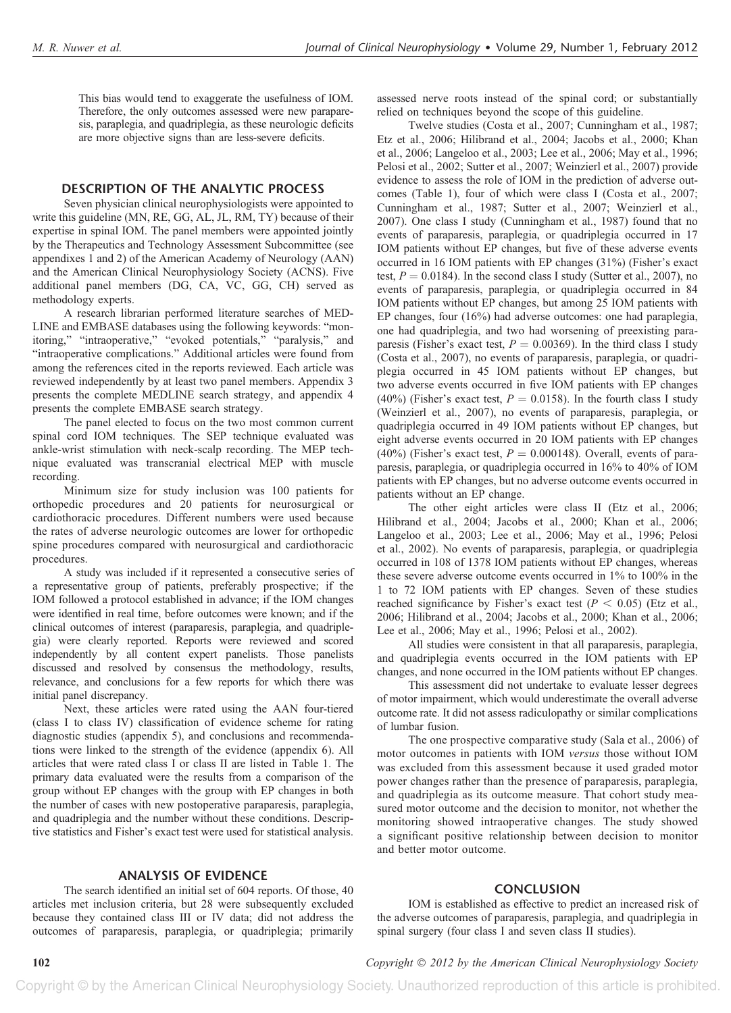This bias would tend to exaggerate the usefulness of IOM. Therefore, the only outcomes assessed were new paraparesis, paraplegia, and quadriplegia, as these neurologic deficits are more objective signs than are less-severe deficits.

## DESCRIPTION OF THE ANALYTIC PROCESS

Seven physician clinical neurophysiologists were appointed to write this guideline (MN, RE, GG, AL, JL, RM, TY) because of their expertise in spinal IOM. The panel members were appointed jointly by the Therapeutics and Technology Assessment Subcommittee (see appendixes 1 and 2) of the American Academy of Neurology (AAN) and the American Clinical Neurophysiology Society (ACNS). Five additional panel members (DG, CA, VC, GG, CH) served as methodology experts.

A research librarian performed literature searches of MED-LINE and EMBASE databases using the following keywords: "monitoring," "intraoperative," "evoked potentials," "paralysis," and "intraoperative complications." Additional articles were found from among the references cited in the reports reviewed. Each article was reviewed independently by at least two panel members. Appendix 3 presents the complete MEDLINE search strategy, and appendix 4 presents the complete EMBASE search strategy.

The panel elected to focus on the two most common current spinal cord IOM techniques. The SEP technique evaluated was ankle-wrist stimulation with neck-scalp recording. The MEP technique evaluated was transcranial electrical MEP with muscle recording.

Minimum size for study inclusion was 100 patients for orthopedic procedures and 20 patients for neurosurgical or cardiothoracic procedures. Different numbers were used because the rates of adverse neurologic outcomes are lower for orthopedic spine procedures compared with neurosurgical and cardiothoracic procedures.

A study was included if it represented a consecutive series of a representative group of patients, preferably prospective; if the IOM followed a protocol established in advance; if the IOM changes were identified in real time, before outcomes were known; and if the clinical outcomes of interest (paraparesis, paraplegia, and quadriplegia) were clearly reported. Reports were reviewed and scored independently by all content expert panelists. Those panelists discussed and resolved by consensus the methodology, results, relevance, and conclusions for a few reports for which there was initial panel discrepancy.

Next, these articles were rated using the AAN four-tiered (class I to class IV) classification of evidence scheme for rating diagnostic studies (appendix 5), and conclusions and recommendations were linked to the strength of the evidence (appendix 6). All articles that were rated class I or class II are listed in Table 1. The primary data evaluated were the results from a comparison of the group without EP changes with the group with EP changes in both the number of cases with new postoperative paraparesis, paraplegia, and quadriplegia and the number without these conditions. Descriptive statistics and Fisher's exact test were used for statistical analysis.

# ANALYSIS OF EVIDENCE

The search identified an initial set of 604 reports. Of those, 40 articles met inclusion criteria, but 28 were subsequently excluded because they contained class III or IV data; did not address the outcomes of paraparesis, paraplegia, or quadriplegia; primarily

assessed nerve roots instead of the spinal cord; or substantially relied on techniques beyond the scope of this guideline.

Twelve studies (Costa et al., 2007; Cunningham et al., 1987; Etz et al., 2006; Hilibrand et al., 2004; Jacobs et al., 2000; Khan et al., 2006; Langeloo et al., 2003; Lee et al., 2006; May et al., 1996; Pelosi et al., 2002; Sutter et al., 2007; Weinzierl et al., 2007) provide evidence to assess the role of IOM in the prediction of adverse outcomes (Table 1), four of which were class I (Costa et al., 2007; Cunningham et al., 1987; Sutter et al., 2007; Weinzierl et al., 2007). One class I study (Cunningham et al., 1987) found that no events of paraparesis, paraplegia, or quadriplegia occurred in 17 IOM patients without EP changes, but five of these adverse events occurred in 16 IOM patients with EP changes (31%) (Fisher's exact test,  $P = 0.0184$ ). In the second class I study (Sutter et al., 2007), no events of paraparesis, paraplegia, or quadriplegia occurred in 84 IOM patients without EP changes, but among 25 IOM patients with EP changes, four (16%) had adverse outcomes: one had paraplegia, one had quadriplegia, and two had worsening of preexisting paraparesis (Fisher's exact test,  $P = 0.00369$ ). In the third class I study (Costa et al., 2007), no events of paraparesis, paraplegia, or quadriplegia occurred in 45 IOM patients without EP changes, but two adverse events occurred in five IOM patients with EP changes (40%) (Fisher's exact test,  $P = 0.0158$ ). In the fourth class I study (Weinzierl et al., 2007), no events of paraparesis, paraplegia, or quadriplegia occurred in 49 IOM patients without EP changes, but eight adverse events occurred in 20 IOM patients with EP changes (40%) (Fisher's exact test,  $P = 0.000148$ ). Overall, events of paraparesis, paraplegia, or quadriplegia occurred in 16% to 40% of IOM patients with EP changes, but no adverse outcome events occurred in patients without an EP change.

The other eight articles were class II (Etz et al., 2006; Hilibrand et al., 2004; Jacobs et al., 2000; Khan et al., 2006; Langeloo et al., 2003; Lee et al., 2006; May et al., 1996; Pelosi et al., 2002). No events of paraparesis, paraplegia, or quadriplegia occurred in 108 of 1378 IOM patients without EP changes, whereas these severe adverse outcome events occurred in 1% to 100% in the 1 to 72 IOM patients with EP changes. Seven of these studies reached significance by Fisher's exact test ( $P < 0.05$ ) (Etz et al., 2006; Hilibrand et al., 2004; Jacobs et al., 2000; Khan et al., 2006; Lee et al., 2006; May et al., 1996; Pelosi et al., 2002).

All studies were consistent in that all paraparesis, paraplegia, and quadriplegia events occurred in the IOM patients with EP changes, and none occurred in the IOM patients without EP changes.

This assessment did not undertake to evaluate lesser degrees of motor impairment, which would underestimate the overall adverse outcome rate. It did not assess radiculopathy or similar complications of lumbar fusion.

The one prospective comparative study (Sala et al., 2006) of motor outcomes in patients with IOM versus those without IOM was excluded from this assessment because it used graded motor power changes rather than the presence of paraparesis, paraplegia, and quadriplegia as its outcome measure. That cohort study measured motor outcome and the decision to monitor, not whether the monitoring showed intraoperative changes. The study showed a significant positive relationship between decision to monitor and better motor outcome.

### **CONCLUSION**

IOM is established as effective to predict an increased risk of the adverse outcomes of paraparesis, paraplegia, and quadriplegia in spinal surgery (four class I and seven class II studies).

102 Copyright  $\odot$  2012 by the American Clinical Neurophysiology Society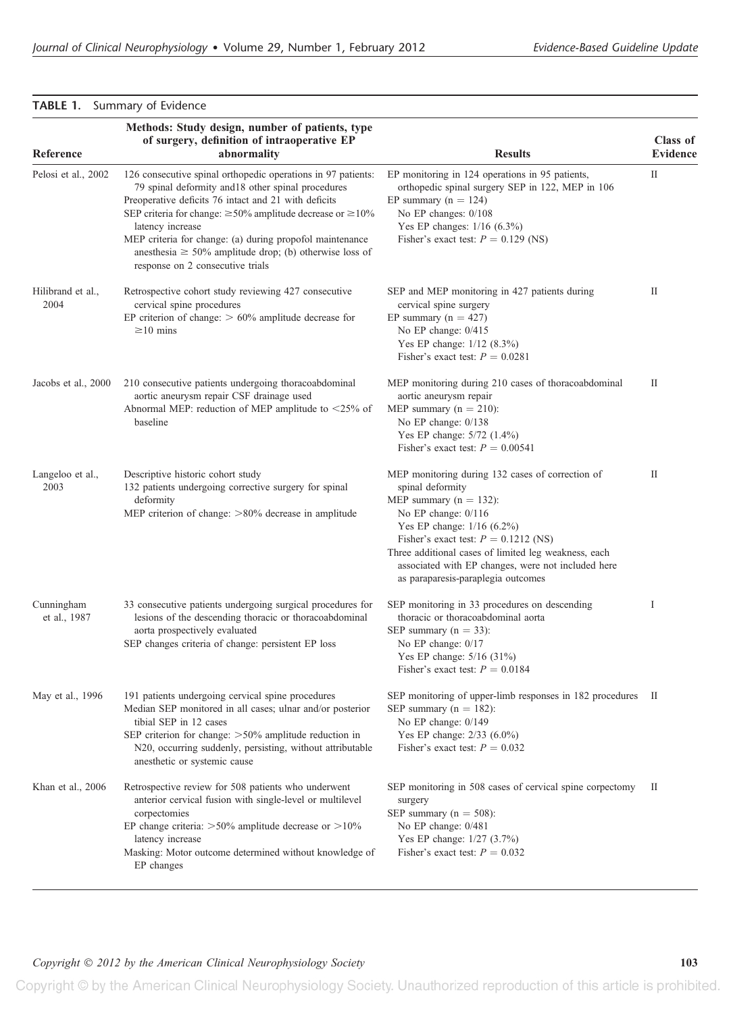| TABLE 1. Summary of Evidence |                                                                                                                                                                                                                                                                                                                                                                                                                                        |                                                                                                                                                                                                                                                                                                                                                       |                             |  |  |
|------------------------------|----------------------------------------------------------------------------------------------------------------------------------------------------------------------------------------------------------------------------------------------------------------------------------------------------------------------------------------------------------------------------------------------------------------------------------------|-------------------------------------------------------------------------------------------------------------------------------------------------------------------------------------------------------------------------------------------------------------------------------------------------------------------------------------------------------|-----------------------------|--|--|
| Reference                    | Methods: Study design, number of patients, type<br>of surgery, definition of intraoperative EP<br>abnormality                                                                                                                                                                                                                                                                                                                          | <b>Results</b>                                                                                                                                                                                                                                                                                                                                        | Class of<br><b>Evidence</b> |  |  |
| Pelosi et al., 2002          | 126 consecutive spinal orthopedic operations in 97 patients:<br>79 spinal deformity and 18 other spinal procedures<br>Preoperative deficits 76 intact and 21 with deficits<br>SEP criteria for change: $\geq$ 50% amplitude decrease or $\geq$ 10%<br>latency increase<br>MEP criteria for change: (a) during propofol maintenance<br>anesthesia $\geq 50\%$ amplitude drop; (b) otherwise loss of<br>response on 2 consecutive trials | EP monitoring in 124 operations in 95 patients,<br>orthopedic spinal surgery SEP in 122, MEP in 106<br>EP summary ( $n = 124$ )<br>No EP changes: 0/108<br>Yes EP changes: $1/16$ (6.3%)<br>Fisher's exact test: $P = 0.129$ (NS)                                                                                                                     | П                           |  |  |
| Hilibrand et al.,<br>2004    | Retrospective cohort study reviewing 427 consecutive<br>cervical spine procedures<br>EP criterion of change: $> 60\%$ amplitude decrease for<br>$\geq$ 10 mins                                                                                                                                                                                                                                                                         | SEP and MEP monitoring in 427 patients during<br>cervical spine surgery<br>EP summary ( $n = 427$ )<br>No EP change: 0/415<br>Yes EP change: 1/12 (8.3%)<br>Fisher's exact test: $P = 0.0281$                                                                                                                                                         | П                           |  |  |
| Jacobs et al., 2000          | 210 consecutive patients undergoing thoracoabdominal<br>aortic aneurysm repair CSF drainage used<br>Abnormal MEP: reduction of MEP amplitude to $\leq$ 25% of<br>baseline                                                                                                                                                                                                                                                              | MEP monitoring during 210 cases of thoracoabdominal<br>aortic aneurysm repair<br>MEP summary ( $n = 210$ ):<br>No EP change: 0/138<br>Yes EP change: 5/72 (1.4%)<br>Fisher's exact test: $P = 0.00541$                                                                                                                                                | П                           |  |  |
| Langeloo et al.,<br>2003     | Descriptive historic cohort study<br>132 patients undergoing corrective surgery for spinal<br>deformity<br>MEP criterion of change: $>80\%$ decrease in amplitude                                                                                                                                                                                                                                                                      | MEP monitoring during 132 cases of correction of<br>spinal deformity<br>MEP summary ( $n = 132$ ):<br>No EP change: 0/116<br>Yes EP change: 1/16 (6.2%)<br>Fisher's exact test: $P = 0.1212$ (NS)<br>Three additional cases of limited leg weakness, each<br>associated with EP changes, were not included here<br>as paraparesis-paraplegia outcomes | П                           |  |  |
| Cunningham<br>et al., 1987   | 33 consecutive patients undergoing surgical procedures for<br>lesions of the descending thoracic or thoracoabdominal<br>aorta prospectively evaluated<br>SEP changes criteria of change: persistent EP loss                                                                                                                                                                                                                            | SEP monitoring in 33 procedures on descending<br>thoracic or thoracoabdominal aorta<br>SEP summary $(n = 33)$ :<br>No EP change: 0/17<br>Yes EP change: 5/16 (31%)<br>Fisher's exact test: $P = 0.0184$                                                                                                                                               | I                           |  |  |
| May et al., 1996             | 191 patients undergoing cervical spine procedures<br>Median SEP monitored in all cases; ulnar and/or posterior<br>tibial SEP in 12 cases<br>SEP criterion for change: $>50\%$ amplitude reduction in<br>N20, occurring suddenly, persisting, without attributable<br>anesthetic or systemic cause                                                                                                                                      | SEP monitoring of upper-limb responses in 182 procedures II<br>SEP summary $(n = 182)$ :<br>No EP change: $0/149$<br>Yes EP change: $2/33$ (6.0%)<br>Fisher's exact test: $P = 0.032$                                                                                                                                                                 |                             |  |  |
| Khan et al., 2006            | Retrospective review for 508 patients who underwent<br>anterior cervical fusion with single-level or multilevel<br>corpectomies<br>EP change criteria: $>50\%$ amplitude decrease or $>10\%$<br>latency increase<br>Masking: Motor outcome determined without knowledge of<br>EP changes                                                                                                                                               | SEP monitoring in 508 cases of cervical spine corpectomy<br>surgery<br>SEP summary ( $n = 508$ ):<br>No EP change: 0/481<br>Yes EP change: 1/27 (3.7%)<br>Fisher's exact test: $P = 0.032$                                                                                                                                                            | П                           |  |  |

Copyright  $\odot$  2012 by the American Clinical Neurophysiology Society 103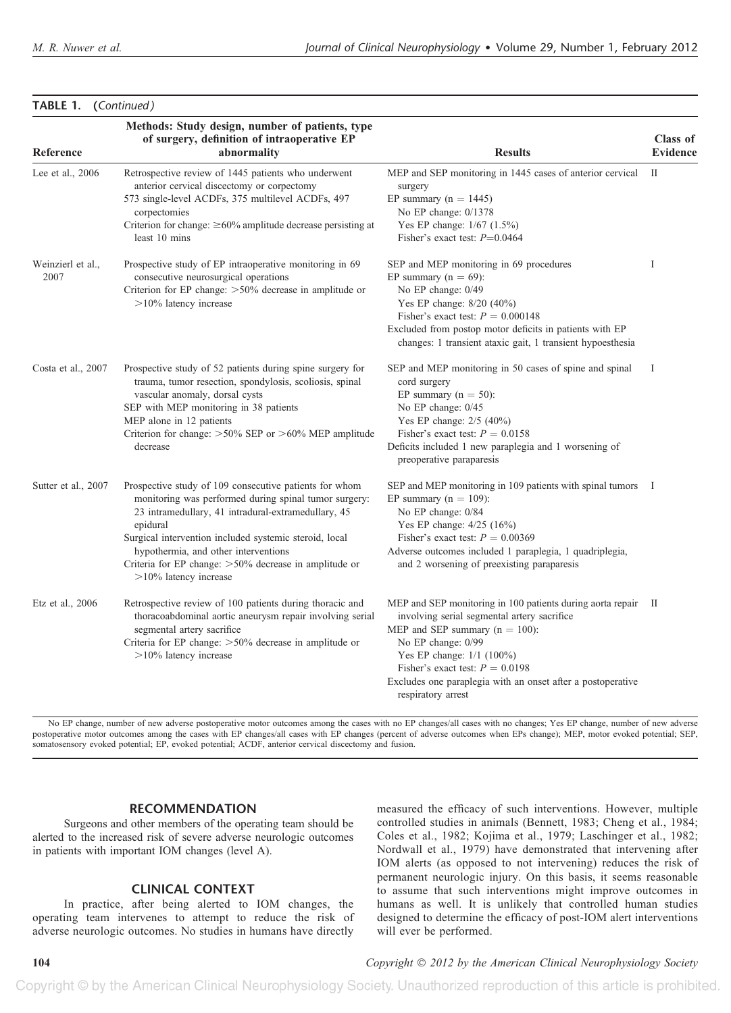| Reference                 | Methods: Study design, number of patients, type<br>of surgery, definition of intraoperative EP<br>abnormality                                                                                                                                                                                                                                                                | <b>Results</b>                                                                                                                                                                                                                                                                                                                 | Class of<br><b>Evidence</b> |
|---------------------------|------------------------------------------------------------------------------------------------------------------------------------------------------------------------------------------------------------------------------------------------------------------------------------------------------------------------------------------------------------------------------|--------------------------------------------------------------------------------------------------------------------------------------------------------------------------------------------------------------------------------------------------------------------------------------------------------------------------------|-----------------------------|
| Lee et al., 2006          | Retrospective review of 1445 patients who underwent<br>anterior cervical discectomy or corpectomy<br>573 single-level ACDFs, 375 multilevel ACDFs, 497<br>corpectomies<br>Criterion for change: $\geq 60\%$ amplitude decrease persisting at<br>least 10 mins                                                                                                                | MEP and SEP monitoring in 1445 cases of anterior cervical<br>surgery<br>EP summary ( $n = 1445$ )<br>No EP change: $0/1378$<br>Yes EP change: 1/67 (1.5%)<br>Fisher's exact test: $P=0.0464$                                                                                                                                   | П                           |
| Weinzierl et al.,<br>2007 | Prospective study of EP intraoperative monitoring in 69<br>consecutive neurosurgical operations<br>Criterion for EP change: $>50\%$ decrease in amplitude or<br>$>10\%$ latency increase                                                                                                                                                                                     | SEP and MEP monitoring in 69 procedures<br>EP summary $(n = 69)$ :<br>No EP change: 0/49<br>Yes EP change: 8/20 (40%)<br>Fisher's exact test: $P = 0.000148$<br>Excluded from postop motor deficits in patients with EP<br>changes: 1 transient ataxic gait, 1 transient hypoesthesia                                          | $\mathbf{I}$                |
| Costa et al., 2007        | Prospective study of 52 patients during spine surgery for<br>trauma, tumor resection, spondylosis, scoliosis, spinal<br>vascular anomaly, dorsal cysts<br>SEP with MEP monitoring in 38 patients<br>MEP alone in 12 patients<br>Criterion for change: $>50\%$ SEP or $>60\%$ MEP amplitude<br>decrease                                                                       | SEP and MEP monitoring in 50 cases of spine and spinal<br>cord surgery<br>EP summary ( $n = 50$ ):<br>No EP change: 0/45<br>Yes EP change: $2/5$ (40%)<br>Fisher's exact test: $P = 0.0158$<br>Deficits included 1 new paraplegia and 1 worsening of<br>preoperative paraparesis                                               | Ι                           |
| Sutter et al., 2007       | Prospective study of 109 consecutive patients for whom<br>monitoring was performed during spinal tumor surgery:<br>23 intramedullary, 41 intradural-extramedullary, 45<br>epidural<br>Surgical intervention included systemic steroid, local<br>hypothermia, and other interventions<br>Criteria for EP change: $>50\%$ decrease in amplitude or<br>$>10\%$ latency increase | SEP and MEP monitoring in 109 patients with spinal tumors I<br>EP summary ( $n = 109$ ):<br>No EP change: 0/84<br>Yes EP change: $4/25$ (16%)<br>Fisher's exact test: $P = 0.00369$<br>Adverse outcomes included 1 paraplegia, 1 quadriplegia,<br>and 2 worsening of preexisting paraparesis                                   |                             |
| Etz et al., 2006          | Retrospective review of 100 patients during thoracic and<br>thoracoabdominal aortic aneurysm repair involving serial<br>segmental artery sacrifice<br>Criteria for EP change: $>50\%$ decrease in amplitude or<br>$>10\%$ latency increase                                                                                                                                   | MEP and SEP monitoring in 100 patients during aorta repair II<br>involving serial segmental artery sacrifice<br>MEP and SEP summary $(n = 100)$ :<br>No EP change: 0/99<br>Yes EP change: 1/1 (100%)<br>Fisher's exact test: $P = 0.0198$<br>Excludes one paraplegia with an onset after a postoperative<br>respiratory arrest |                             |

No EP change, number of new adverse postoperative motor outcomes among the cases with no EP changes/all cases with no changes; Yes EP change, number of new adverse postoperative motor outcomes among the cases with EP changes/all cases with EP changes (percent of adverse outcomes when EPs change); MEP, motor evoked potential; SEP, somatosensory evoked potential; EP, evoked potential; ACDF, anterior cervical discectomy and fusion.

### RECOMMENDATION

Surgeons and other members of the operating team should be alerted to the increased risk of severe adverse neurologic outcomes in patients with important IOM changes (level A).

### CLINICAL CONTEXT

In practice, after being alerted to IOM changes, the operating team intervenes to attempt to reduce the risk of adverse neurologic outcomes. No studies in humans have directly measured the efficacy of such interventions. However, multiple controlled studies in animals (Bennett, 1983; Cheng et al., 1984; Coles et al., 1982; Kojima et al., 1979; Laschinger et al., 1982; Nordwall et al., 1979) have demonstrated that intervening after IOM alerts (as opposed to not intervening) reduces the risk of permanent neurologic injury. On this basis, it seems reasonable to assume that such interventions might improve outcomes in humans as well. It is unlikely that controlled human studies designed to determine the efficacy of post-IOM alert interventions will ever be performed.

104 Copyright  $\odot$  2012 by the American Clinical Neurophysiology Society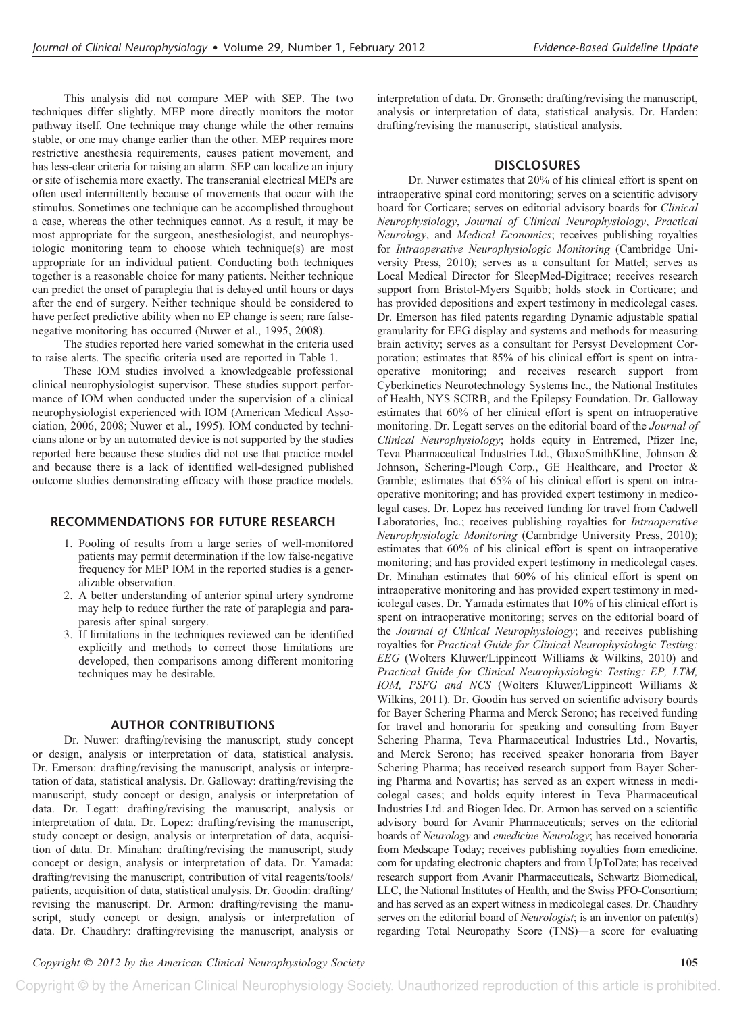This analysis did not compare MEP with SEP. The two techniques differ slightly. MEP more directly monitors the motor pathway itself. One technique may change while the other remains stable, or one may change earlier than the other. MEP requires more restrictive anesthesia requirements, causes patient movement, and has less-clear criteria for raising an alarm. SEP can localize an injury or site of ischemia more exactly. The transcranial electrical MEPs are often used intermittently because of movements that occur with the stimulus. Sometimes one technique can be accomplished throughout a case, whereas the other techniques cannot. As a result, it may be most appropriate for the surgeon, anesthesiologist, and neurophysiologic monitoring team to choose which technique(s) are most appropriate for an individual patient. Conducting both techniques together is a reasonable choice for many patients. Neither technique can predict the onset of paraplegia that is delayed until hours or days after the end of surgery. Neither technique should be considered to have perfect predictive ability when no EP change is seen; rare falsenegative monitoring has occurred (Nuwer et al., 1995, 2008).

The studies reported here varied somewhat in the criteria used to raise alerts. The specific criteria used are reported in Table 1.

These IOM studies involved a knowledgeable professional clinical neurophysiologist supervisor. These studies support performance of IOM when conducted under the supervision of a clinical neurophysiologist experienced with IOM (American Medical Association, 2006, 2008; Nuwer et al., 1995). IOM conducted by technicians alone or by an automated device is not supported by the studies reported here because these studies did not use that practice model and because there is a lack of identified well-designed published outcome studies demonstrating efficacy with those practice models.

# RECOMMENDATIONS FOR FUTURE RESEARCH

- 1. Pooling of results from a large series of well-monitored patients may permit determination if the low false-negative frequency for MEP IOM in the reported studies is a generalizable observation.
- 2. A better understanding of anterior spinal artery syndrome may help to reduce further the rate of paraplegia and paraparesis after spinal surgery.
- 3. If limitations in the techniques reviewed can be identified explicitly and methods to correct those limitations are developed, then comparisons among different monitoring techniques may be desirable.

#### AUTHOR CONTRIBUTIONS

Dr. Nuwer: drafting/revising the manuscript, study concept or design, analysis or interpretation of data, statistical analysis. Dr. Emerson: drafting/revising the manuscript, analysis or interpretation of data, statistical analysis. Dr. Galloway: drafting/revising the manuscript, study concept or design, analysis or interpretation of data. Dr. Legatt: drafting/revising the manuscript, analysis or interpretation of data. Dr. Lopez: drafting/revising the manuscript, study concept or design, analysis or interpretation of data, acquisition of data. Dr. Minahan: drafting/revising the manuscript, study concept or design, analysis or interpretation of data. Dr. Yamada: drafting/revising the manuscript, contribution of vital reagents/tools/ patients, acquisition of data, statistical analysis. Dr. Goodin: drafting/ revising the manuscript. Dr. Armon: drafting/revising the manuscript, study concept or design, analysis or interpretation of data. Dr. Chaudhry: drafting/revising the manuscript, analysis or interpretation of data. Dr. Gronseth: drafting/revising the manuscript, analysis or interpretation of data, statistical analysis. Dr. Harden: drafting/revising the manuscript, statistical analysis.

#### **DISCLOSURES**

Dr. Nuwer estimates that 20% of his clinical effort is spent on intraoperative spinal cord monitoring; serves on a scientific advisory board for Corticare; serves on editorial advisory boards for Clinical Neurophysiology, Journal of Clinical Neurophysiology, Practical Neurology, and Medical Economics; receives publishing royalties for Intraoperative Neurophysiologic Monitoring (Cambridge University Press, 2010); serves as a consultant for Mattel; serves as Local Medical Director for SleepMed-Digitrace; receives research support from Bristol-Myers Squibb; holds stock in Corticare; and has provided depositions and expert testimony in medicolegal cases. Dr. Emerson has filed patents regarding Dynamic adjustable spatial granularity for EEG display and systems and methods for measuring brain activity; serves as a consultant for Persyst Development Corporation; estimates that 85% of his clinical effort is spent on intraoperative monitoring; and receives research support from Cyberkinetics Neurotechnology Systems Inc., the National Institutes of Health, NYS SCIRB, and the Epilepsy Foundation. Dr. Galloway estimates that 60% of her clinical effort is spent on intraoperative monitoring. Dr. Legatt serves on the editorial board of the Journal of Clinical Neurophysiology; holds equity in Entremed, Pfizer Inc, Teva Pharmaceutical Industries Ltd., GlaxoSmithKline, Johnson & Johnson, Schering-Plough Corp., GE Healthcare, and Proctor & Gamble; estimates that 65% of his clinical effort is spent on intraoperative monitoring; and has provided expert testimony in medicolegal cases. Dr. Lopez has received funding for travel from Cadwell Laboratories, Inc.; receives publishing royalties for Intraoperative Neurophysiologic Monitoring (Cambridge University Press, 2010); estimates that 60% of his clinical effort is spent on intraoperative monitoring; and has provided expert testimony in medicolegal cases. Dr. Minahan estimates that 60% of his clinical effort is spent on intraoperative monitoring and has provided expert testimony in medicolegal cases. Dr. Yamada estimates that 10% of his clinical effort is spent on intraoperative monitoring; serves on the editorial board of the Journal of Clinical Neurophysiology; and receives publishing royalties for Practical Guide for Clinical Neurophysiologic Testing: EEG (Wolters Kluwer/Lippincott Williams & Wilkins, 2010) and Practical Guide for Clinical Neurophysiologic Testing: EP, LTM, IOM, PSFG and NCS (Wolters Kluwer/Lippincott Williams & Wilkins, 2011). Dr. Goodin has served on scientific advisory boards for Bayer Schering Pharma and Merck Serono; has received funding for travel and honoraria for speaking and consulting from Bayer Schering Pharma, Teva Pharmaceutical Industries Ltd., Novartis, and Merck Serono; has received speaker honoraria from Bayer Schering Pharma; has received research support from Bayer Schering Pharma and Novartis; has served as an expert witness in medicolegal cases; and holds equity interest in Teva Pharmaceutical Industries Ltd. and Biogen Idec. Dr. Armon has served on a scientific advisory board for Avanir Pharmaceuticals; serves on the editorial boards of Neurology and emedicine Neurology; has received honoraria from Medscape Today; receives publishing royalties from emedicine. com for updating electronic chapters and from UpToDate; has received research support from Avanir Pharmaceuticals, Schwartz Biomedical, LLC, the National Institutes of Health, and the Swiss PFO-Consortium; and has served as an expert witness in medicolegal cases. Dr. Chaudhry serves on the editorial board of *Neurologist*; is an inventor on patent(s) regarding Total Neuropathy Score (TNS)-a score for evaluating

Copyright  $\odot$  2012 by the American Clinical Neurophysiology Society 105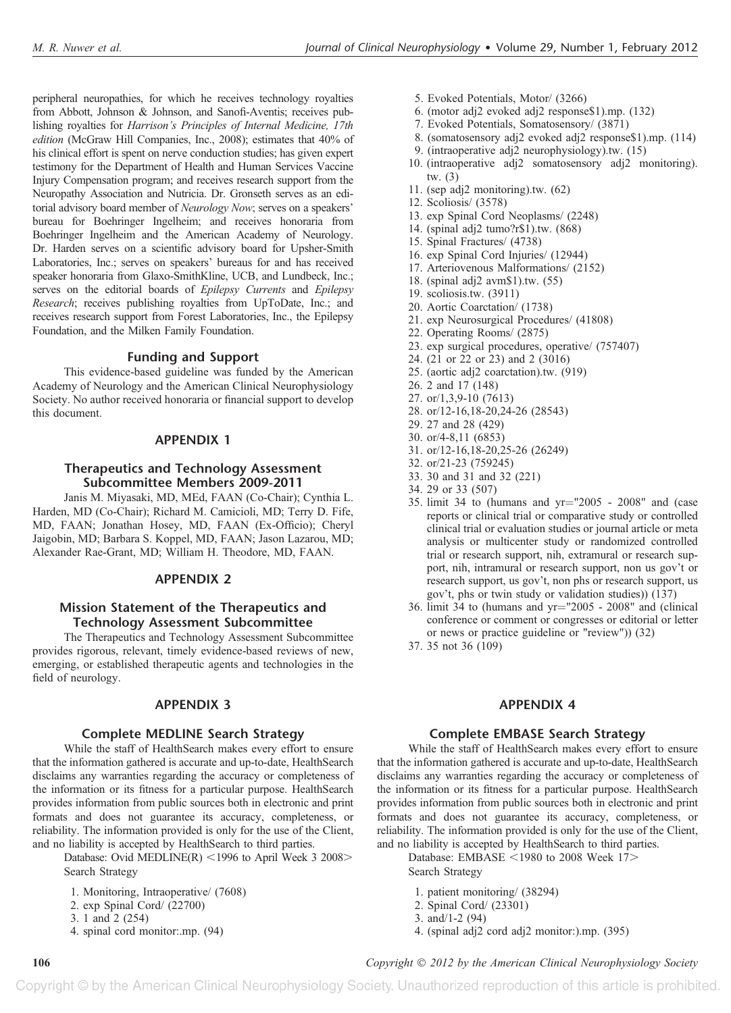peripheral neuropathies, for which he receives technology royalties from Abbott, Johnson & Johnson, and Sanofi-Aventis; receives publishing royalties for Harrison's Principles of Internal Medicine, 17th edition (McGraw Hill Companies, Inc., 2008); estimates that 40% of his clinical effort is spent on nerve conduction studies; has given expert testimony for the Department of Health and Human Services Vaccine Injury Compensation program; and receives research support from the Neuropathy Association and Nutricia. Dr. Gronseth serves as an editorial advisory board member of Neurology Now; serves on a speakers' bureau for Boehringer Ingelheim; and receives honoraria from Boehringer Ingelheim and the American Academy of Neurology. Dr. Harden serves on a scientific advisory board for Upsher-Smith Laboratories, Inc.; serves on speakers' bureaus for and has received speaker honoraria from Glaxo-SmithKline, UCB, and Lundbeck, Inc.; serves on the editorial boards of Epilepsy Currents and Epilepsy Research; receives publishing royalties from UpToDate, Inc.; and receives research support from Forest Laboratories, Inc., the Epilepsy Foundation, and the Milken Family Foundation.

# Funding and Support

This evidence-based guideline was funded by the American Academy of Neurology and the American Clinical Neurophysiology Society. No author received honoraria or financial support to develop this document.

# APPENDIX 1

# Therapeutics and Technology Assessment Subcommittee Members 2009-2011

Janis M. Miyasaki, MD, MEd, FAAN (Co-Chair); Cynthia L. Harden, MD (Co-Chair); Richard M. Camicioli, MD; Terry D. Fife, MD, FAAN; Jonathan Hosey, MD, FAAN (Ex-Officio); Cheryl Jaigobin, MD; Barbara S. Koppel, MD, FAAN; Jason Lazarou, MD; Alexander Rae-Grant, MD; William H. Theodore, MD, FAAN.

# APPENDIX 2

# Mission Statement of the Therapeutics and Technology Assessment Subcommittee

The Therapeutics and Technology Assessment Subcommittee provides rigorous, relevant, timely evidence-based reviews of new, emerging, or established therapeutic agents and technologies in the field of neurology.

# APPENDIX 3

### Complete MEDLINE Search Strategy

While the staff of HealthSearch makes every effort to ensure that the information gathered is accurate and up-to-date, HealthSearch disclaims any warranties regarding the accuracy or completeness of the information or its fitness for a particular purpose. HealthSearch provides information from public sources both in electronic and print formats and does not guarantee its accuracy, completeness, or reliability. The information provided is only for the use of the Client, and no liability is accepted by HealthSearch to third parties.

Database: Ovid MEDLINE(R) <1996 to April Week 3 2008> Search Strategy

- 1. Monitoring, Intraoperative/ (7608)
- 2. exp Spinal Cord/ (22700)

4. spinal cord monitor:.mp. (94)

- 5. Evoked Potentials, Motor/ (3266)
- 6. (motor adj2 evoked adj2 response\$1).mp. (132)
- 7. Evoked Potentials, Somatosensory/ (3871)
- 8. (somatosensory adj2 evoked adj2 response\$1).mp. (114)
- 9. (intraoperative adj2 neurophysiology).tw. (15)
- 10. (intraoperative adj2 somatosensory adj2 monitoring). tw. (3)
- 11. (sep adj2 monitoring).tw. (62)
- 12. Scoliosis/ (3578)
- 13. exp Spinal Cord Neoplasms/ (2248)
- 14. (spinal adj2 tumo?r\$1).tw. (868)
- 15. Spinal Fractures/ (4738)
- 16. exp Spinal Cord Injuries/ (12944)
- 17. Arteriovenous Malformations/ (2152)
- 18. (spinal adj2 avm\$1).tw. (55)
- 19. scoliosis.tw. (3911)
- 20. Aortic Coarctation/ (1738)
- 21. exp Neurosurgical Procedures/ (41808)
- 22. Operating Rooms/ (2875)
- 23. exp surgical procedures, operative/ (757407)
- 24. (21 or 22 or 23) and 2 (3016)
- 25. (aortic adj2 coarctation).tw. (919)
- 26. 2 and 17 (148)
- 27. or/1,3,9-10 (7613)
- 28. or/12-16,18-20,24-26 (28543)
- 29. 27 and 28 (429)
- 30. or/4-8,11 (6853)
- 31. or/12-16,18-20,25-26 (26249)
- 32. or/21-23 (759245)
- 33. 30 and 31 and 32 (221)
- 34. 29 or 33 (507)
- 35. limit 34 to (humans and  $yr="2005 2008"$  and (case reports or clinical trial or comparative study or controlled clinical trial or evaluation studies or journal article or meta analysis or multicenter study or randomized controlled trial or research support, nih, extramural or research support, nih, intramural or research support, non us gov't or research support, us gov't, non phs or research support, us gov't, phs or twin study or validation studies)) (137)
- 36. limit 34 to (humans and  $yr="2005 2008"$  and (clinical conference or comment or congresses or editorial or letter or news or practice guideline or "review")) (32)
- 37. 35 not 36 (109)

#### APPENDIX 4

#### Complete EMBASE Search Strategy

While the staff of HealthSearch makes every effort to ensure that the information gathered is accurate and up-to-date, HealthSearch disclaims any warranties regarding the accuracy or completeness of the information or its fitness for a particular purpose. HealthSearch provides information from public sources both in electronic and print formats and does not guarantee its accuracy, completeness, or reliability. The information provided is only for the use of the Client, and no liability is accepted by HealthSearch to third parties.

Database: EMBASE <1980 to 2008 Week 17> Search Strategy

- 1. patient monitoring/ (38294)
- 2. Spinal Cord/ (23301)
- 3. and/1-2 (94)
- 4. (spinal adj2 cord adj2 monitor:).mp. (395)

<sup>3. 1</sup> and 2 (254)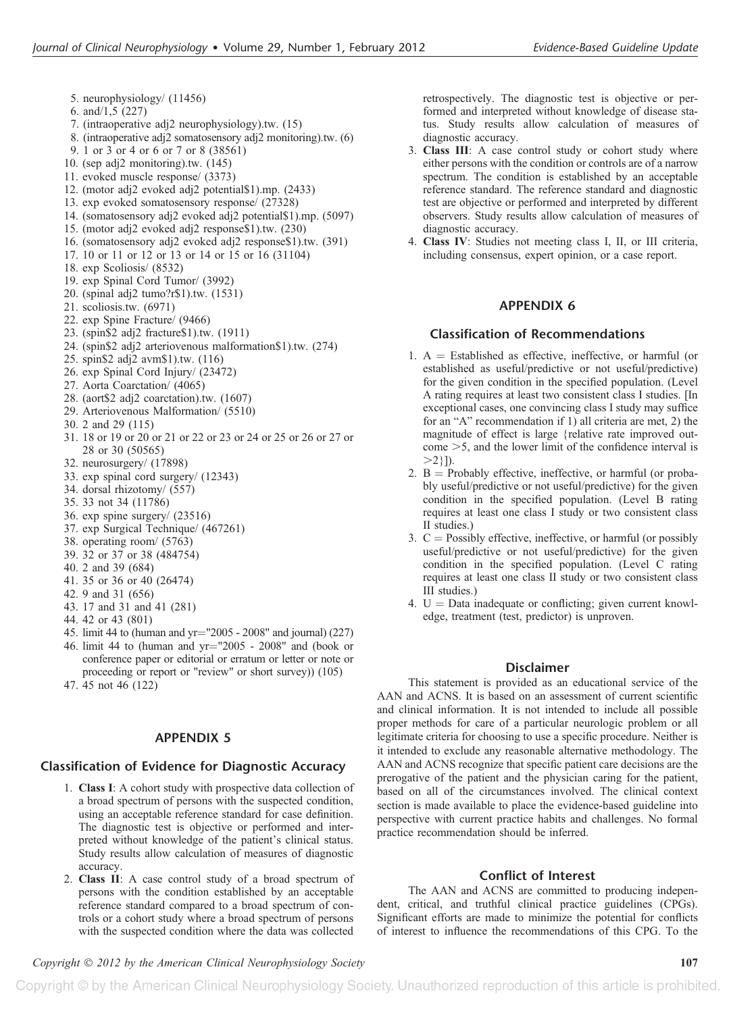- 5. neurophysiology/ (11456)
- 6. and/1,5 (227)
- 7. (intraoperative adj2 neurophysiology).tw. (15)
- 8. (intraoperative adj2 somatosensory adj2 monitoring).tw. (6)
- 9. 1 or 3 or 4 or 6 or 7 or 8 (38561)
- 10. (sep adj2 monitoring).tw. (145)
- 11. evoked muscle response/ (3373)
- 12. (motor adj2 evoked adj2 potential\$1).mp. (2433)
- 13. exp evoked somatosensory response/ (27328)
- 14. (somatosensory adj2 evoked adj2 potential\$1).mp. (5097)
- 15. (motor adj2 evoked adj2 response\$1).tw. (230)
- 16. (somatosensory adj2 evoked adj2 response\$1).tw. (391)
- 17. 10 or 11 or 12 or 13 or 14 or 15 or 16 (31104)
- 18. exp Scoliosis/ (8532)
- 19. exp Spinal Cord Tumor/ (3992)
- 20. (spinal adj2 tumo?r\$1).tw. (1531)
- 21. scoliosis.tw. (6971)
- 22. exp Spine Fracture/ (9466)
- 23. (spin\$2 adj2 fracture\$1).tw. (1911)
- 24. (spin\$2 adj2 arteriovenous malformation\$1).tw. (274)
- 25. spin\$2 adj2 avm\$1).tw. (116)
- 26. exp Spinal Cord Injury/ (23472)
- 27. Aorta Coarctation/ (4065)
- 28. (aort\$2 adj2 coarctation).tw. (1607)
- 29. Arteriovenous Malformation/ (5510)
- 30. 2 and 29 (115)
- 31. 18 or 19 or 20 or 21 or 22 or 23 or 24 or 25 or 26 or 27 or 28 or 30 (50565)
- 32. neurosurgery/ (17898)
- 33. exp spinal cord surgery/ (12343)
- 34. dorsal rhizotomy/ (557)
- 35. 33 not 34 (11786)
- 36. exp spine surgery/ (23516)
- 37. exp Surgical Technique/ (467261)
- 38. operating room/ (5763)
- 39. 32 or 37 or 38 (484754)
- 40. 2 and 39 (684)
- 41. 35 or 36 or 40 (26474)
- 42. 9 and 31 (656)
- 43. 17 and 31 and 41 (281)
- 44. 42 or 43 (801)
- 45. limit 44 to (human and yr="2005 2008" and journal) (227)
- 46. limit 44 to (human and  $yr="2005 2008"$  and (book or conference paper or editorial or erratum or letter or note or proceeding or report or "review" or short survey)) (105)
- 47. 45 not 46 (122)

# APPENDIX 5

#### Classification of Evidence for Diagnostic Accuracy

- 1. Class I: A cohort study with prospective data collection of a broad spectrum of persons with the suspected condition, using an acceptable reference standard for case definition. The diagnostic test is objective or performed and interpreted without knowledge of the patient's clinical status. Study results allow calculation of measures of diagnostic accuracy.
- 2. Class II: A case control study of a broad spectrum of persons with the condition established by an acceptable reference standard compared to a broad spectrum of controls or a cohort study where a broad spectrum of persons with the suspected condition where the data was collected

retrospectively. The diagnostic test is objective or performed and interpreted without knowledge of disease status. Study results allow calculation of measures of diagnostic accuracy.

- 3. Class III: A case control study or cohort study where either persons with the condition or controls are of a narrow spectrum. The condition is established by an acceptable reference standard. The reference standard and diagnostic test are objective or performed and interpreted by different observers. Study results allow calculation of measures of diagnostic accuracy.
- 4. Class IV: Studies not meeting class I, II, or III criteria, including consensus, expert opinion, or a case report.

#### APPENDIX 6

#### Classification of Recommendations

- 1.  $A =$  Established as effective, ineffective, or harmful (or established as useful/predictive or not useful/predictive) for the given condition in the specified population. (Level A rating requires at least two consistent class I studies. [In exceptional cases, one convincing class I study may suffice for an "A" recommendation if 1) all criteria are met, 2) the magnitude of effect is large {relative rate improved out $come > 5$ , and the lower limit of the confidence interval is  $>2$ }]).
- 2.  $B =$  Probably effective, ineffective, or harmful (or probably useful/predictive or not useful/predictive) for the given condition in the specified population. (Level B rating requires at least one class I study or two consistent class II studies.)
- 3.  $C =$  Possibly effective, ineffective, or harmful (or possibly useful/predictive or not useful/predictive) for the given condition in the specified population. (Level C rating requires at least one class II study or two consistent class III studies.)
- 4.  $U =$  Data inadequate or conflicting; given current knowledge, treatment (test, predictor) is unproven.

#### Disclaimer

This statement is provided as an educational service of the AAN and ACNS. It is based on an assessment of current scientific and clinical information. It is not intended to include all possible proper methods for care of a particular neurologic problem or all legitimate criteria for choosing to use a specific procedure. Neither is it intended to exclude any reasonable alternative methodology. The AAN and ACNS recognize that specific patient care decisions are the prerogative of the patient and the physician caring for the patient, based on all of the circumstances involved. The clinical context section is made available to place the evidence-based guideline into perspective with current practice habits and challenges. No formal practice recommendation should be inferred.

# Conflict of Interest

The AAN and ACNS are committed to producing independent, critical, and truthful clinical practice guidelines (CPGs). Significant efforts are made to minimize the potential for conflicts of interest to influence the recommendations of this CPG. To the